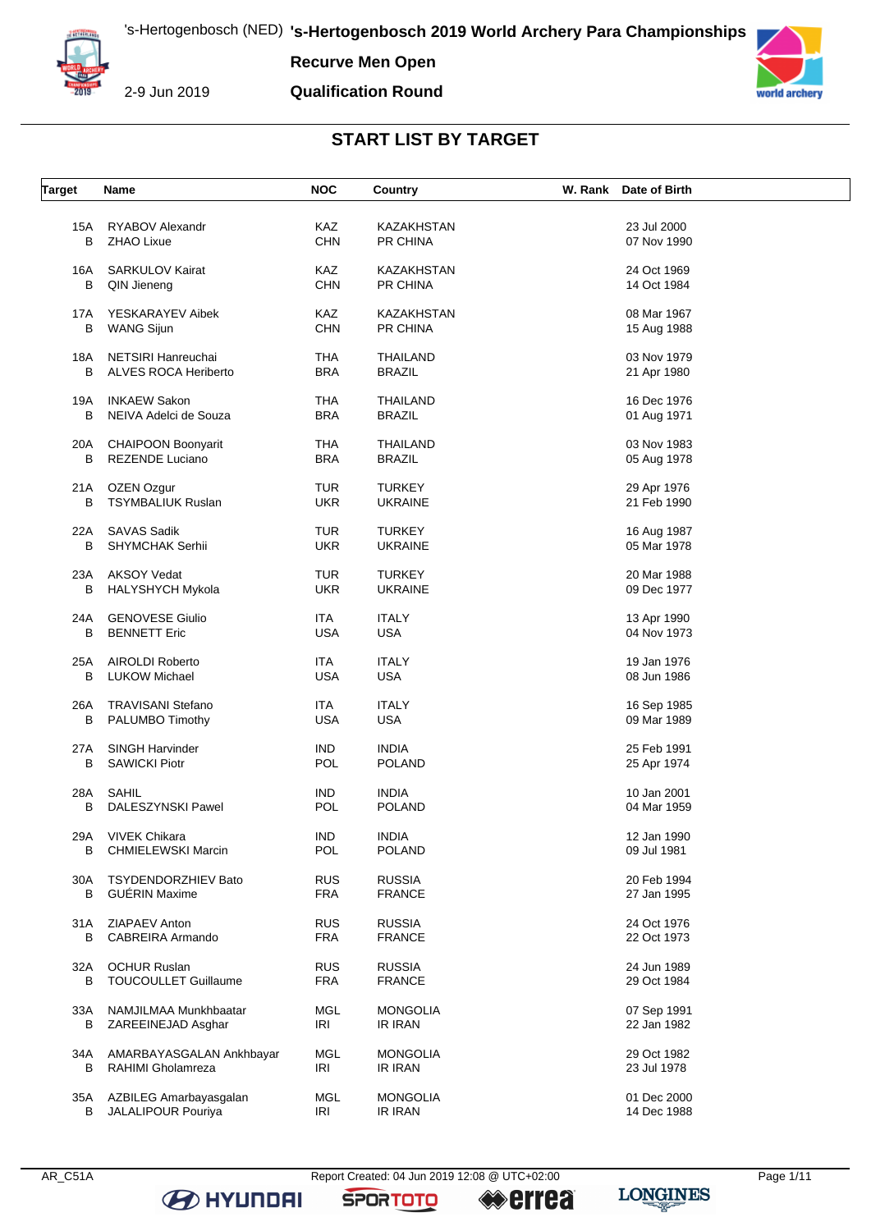

**Recurve Men Open**

**Qualification Round**



### **START LIST BY TARGET**

| <b>Target</b> | Name                        | <b>NOC</b> | Country           | W. Rank Date of Birth |  |
|---------------|-----------------------------|------------|-------------------|-----------------------|--|
|               |                             |            |                   |                       |  |
| 15A           | RYABOV Alexandr             | <b>KAZ</b> | <b>KAZAKHSTAN</b> | 23 Jul 2000           |  |
| в             | <b>ZHAO Lixue</b>           | <b>CHN</b> | PR CHINA          | 07 Nov 1990           |  |
|               |                             |            |                   |                       |  |
| 16A           | <b>SARKULOV Kairat</b>      | KAZ        | <b>KAZAKHSTAN</b> | 24 Oct 1969           |  |
| В             | QIN Jieneng                 | <b>CHN</b> | PR CHINA          | 14 Oct 1984           |  |
|               |                             |            |                   |                       |  |
| 17A           | YESKARAYEV Aibek            | KAZ        | KAZAKHSTAN        | 08 Mar 1967           |  |
| в             | <b>WANG Sijun</b>           | <b>CHN</b> | PR CHINA          | 15 Aug 1988           |  |
|               |                             |            |                   |                       |  |
| 18A           | <b>NETSIRI Hanreuchai</b>   | <b>THA</b> | <b>THAILAND</b>   | 03 Nov 1979           |  |
| в             | ALVES ROCA Heriberto        | <b>BRA</b> | <b>BRAZIL</b>     | 21 Apr 1980           |  |
|               |                             |            |                   |                       |  |
| 19A           | <b>INKAEW Sakon</b>         | <b>THA</b> | <b>THAILAND</b>   | 16 Dec 1976           |  |
| в             | NEIVA Adelci de Souza       | <b>BRA</b> | <b>BRAZIL</b>     | 01 Aug 1971           |  |
|               |                             |            |                   |                       |  |
| 20A           | <b>CHAIPOON Boonyarit</b>   | <b>THA</b> | <b>THAILAND</b>   | 03 Nov 1983           |  |
| в             | <b>REZENDE Luciano</b>      | <b>BRA</b> | <b>BRAZIL</b>     | 05 Aug 1978           |  |
|               |                             |            |                   |                       |  |
| 21 A          | OZEN Ozgur                  | TUR        | <b>TURKEY</b>     | 29 Apr 1976           |  |
| в             | <b>TSYMBALIUK Ruslan</b>    | <b>UKR</b> | <b>UKRAINE</b>    | 21 Feb 1990           |  |
|               |                             |            |                   |                       |  |
| 22A           | <b>SAVAS Sadik</b>          | TUR        | <b>TURKEY</b>     | 16 Aug 1987           |  |
| В             | SHYMCHAK Serhii             | <b>UKR</b> | <b>UKRAINE</b>    | 05 Mar 1978           |  |
|               |                             |            |                   |                       |  |
| 23A           | <b>AKSOY Vedat</b>          | <b>TUR</b> | <b>TURKEY</b>     | 20 Mar 1988           |  |
| В             | <b>HALYSHYCH Mykola</b>     | <b>UKR</b> | <b>UKRAINE</b>    | 09 Dec 1977           |  |
|               |                             |            |                   |                       |  |
| 24A           | <b>GENOVESE Giulio</b>      | <b>ITA</b> | <b>ITALY</b>      | 13 Apr 1990           |  |
| В             | <b>BENNETT Eric</b>         | <b>USA</b> | <b>USA</b>        | 04 Nov 1973           |  |
|               |                             |            |                   |                       |  |
| 25A           | AIROLDI Roberto             | <b>ITA</b> | <b>ITALY</b>      | 19 Jan 1976           |  |
| В             | <b>LUKOW Michael</b>        | <b>USA</b> | <b>USA</b>        | 08 Jun 1986           |  |
|               |                             |            |                   |                       |  |
| 26A           | <b>TRAVISANI Stefano</b>    | <b>ITA</b> | <b>ITALY</b>      | 16 Sep 1985           |  |
| В             | PALUMBO Timothy             | <b>USA</b> | <b>USA</b>        | 09 Mar 1989           |  |
|               |                             |            |                   |                       |  |
| 27A           | <b>SINGH Harvinder</b>      | <b>IND</b> | <b>INDIA</b>      | 25 Feb 1991           |  |
| В             | <b>SAWICKI Piotr</b>        | POL        | <b>POLAND</b>     | 25 Apr 1974           |  |
|               |                             |            |                   |                       |  |
| 28A           | SAHIL                       | <b>IND</b> | <b>INDIA</b>      | 10 Jan 2001           |  |
| В             | DALESZYNSKI Pawel           | POL        | <b>POLAND</b>     | 04 Mar 1959           |  |
|               |                             |            |                   |                       |  |
|               | 29A VIVEK Chikara           | <b>IND</b> | <b>INDIA</b>      | 12 Jan 1990           |  |
| в             | <b>CHMIELEWSKI Marcin</b>   | POL        | <b>POLAND</b>     | 09 Jul 1981           |  |
|               |                             |            |                   |                       |  |
| 30A           | <b>TSYDENDORZHIEV Bato</b>  | <b>RUS</b> | <b>RUSSIA</b>     | 20 Feb 1994           |  |
| В             | <b>GUÉRIN Maxime</b>        | <b>FRA</b> | <b>FRANCE</b>     | 27 Jan 1995           |  |
|               | ZIAPAEV Anton               | <b>RUS</b> | <b>RUSSIA</b>     | 24 Oct 1976           |  |
| 31 A<br>В     | CABREIRA Armando            | <b>FRA</b> | <b>FRANCE</b>     | 22 Oct 1973           |  |
|               |                             |            |                   |                       |  |
| 32A           | <b>OCHUR Ruslan</b>         | <b>RUS</b> | <b>RUSSIA</b>     | 24 Jun 1989           |  |
| В             | <b>TOUCOULLET Guillaume</b> | <b>FRA</b> | <b>FRANCE</b>     | 29 Oct 1984           |  |
|               |                             |            |                   |                       |  |
| 33A           | NAMJILMAA Munkhbaatar       | MGL        | <b>MONGOLIA</b>   | 07 Sep 1991           |  |
| в             | ZAREEINEJAD Asghar          | IRI        | IR IRAN           | 22 Jan 1982           |  |
|               |                             |            |                   |                       |  |
| 34A           | AMARBAYASGALAN Ankhbayar    | MGL        | <b>MONGOLIA</b>   | 29 Oct 1982           |  |
| В             | RAHIMI Gholamreza           | IRI        | IR IRAN           | 23 Jul 1978           |  |
|               |                             |            |                   |                       |  |
| 35A           | AZBILEG Amarbayasgalan      | MGL        | <b>MONGOLIA</b>   | 01 Dec 2000           |  |
| В             | JALALIPOUR Pouriya          | IRI        | IR IRAN           | 14 Dec 1988           |  |
|               |                             |            |                   |                       |  |

**B** HYUNDAI

**SPORTOTO** 

**errea** 

**LONGINES**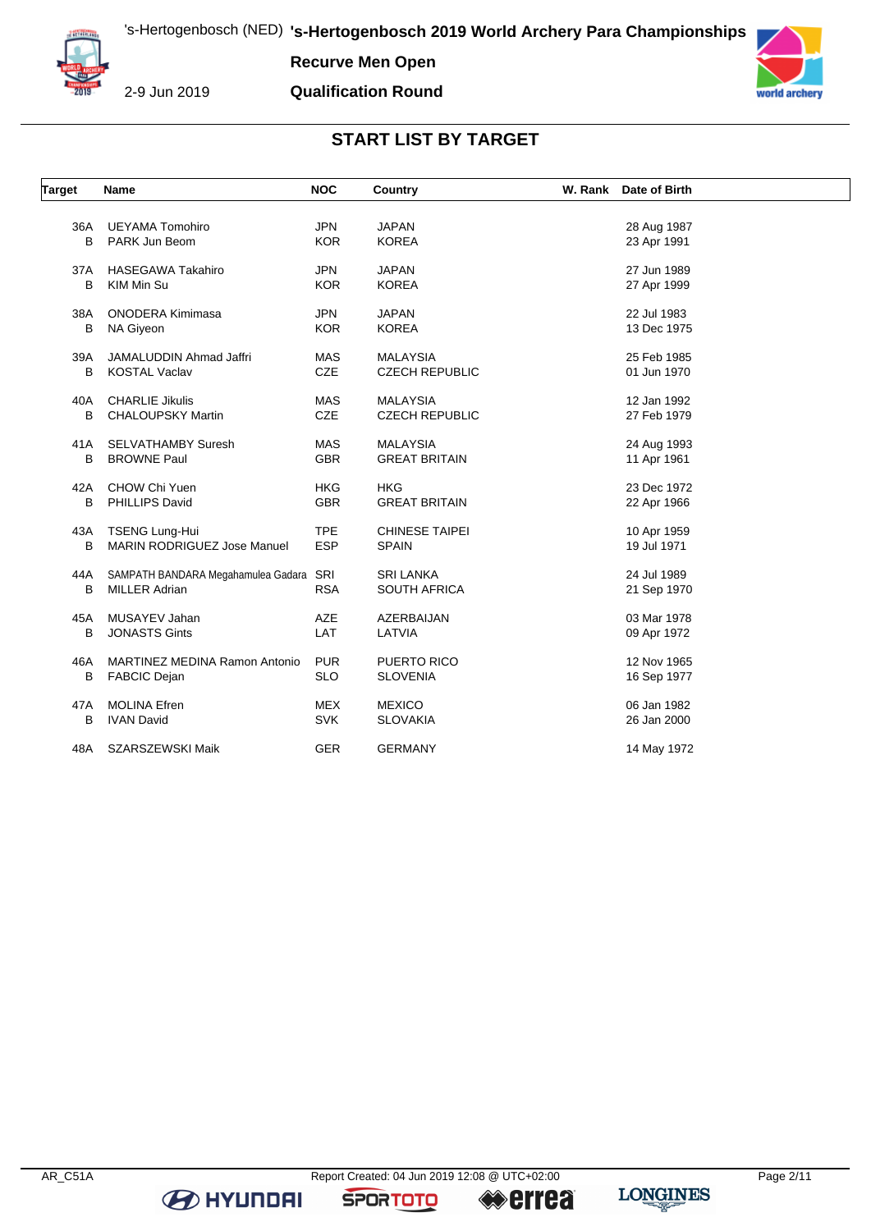

**Recurve Men Open**

**Qualification Round**



## **START LIST BY TARGET**

| <b>Target</b> | Name                               | <b>NOC</b> | Country               | W. Rank | Date of Birth |  |
|---------------|------------------------------------|------------|-----------------------|---------|---------------|--|
| 36A           | <b>UEYAMA Tomohiro</b>             | <b>JPN</b> | <b>JAPAN</b>          |         |               |  |
| B             | PARK Jun Beom                      | <b>KOR</b> | <b>KOREA</b>          |         | 28 Aug 1987   |  |
|               |                                    |            |                       |         | 23 Apr 1991   |  |
| 37A           | <b>HASEGAWA Takahiro</b>           | <b>JPN</b> | <b>JAPAN</b>          |         | 27 Jun 1989   |  |
| B             | KIM Min Su                         | <b>KOR</b> | <b>KOREA</b>          |         | 27 Apr 1999   |  |
| 38A           | <b>ONODERA Kimimasa</b>            | <b>JPN</b> | <b>JAPAN</b>          |         | 22 Jul 1983   |  |
| B             | <b>NA Giveon</b>                   | <b>KOR</b> | <b>KOREA</b>          |         | 13 Dec 1975   |  |
|               |                                    |            |                       |         |               |  |
| 39A           | <b>JAMALUDDIN Ahmad Jaffri</b>     | <b>MAS</b> | <b>MALAYSIA</b>       |         | 25 Feb 1985   |  |
| B             | <b>KOSTAL Vaclav</b>               | <b>CZE</b> | <b>CZECH REPUBLIC</b> |         | 01 Jun 1970   |  |
|               |                                    |            |                       |         |               |  |
| 40A           | <b>CHARLIE Jikulis</b>             | <b>MAS</b> | <b>MALAYSIA</b>       |         | 12 Jan 1992   |  |
| B             | <b>CHALOUPSKY Martin</b>           | CZE        | <b>CZECH REPUBLIC</b> |         | 27 Feb 1979   |  |
| 41A           | <b>SELVATHAMBY Suresh</b>          | <b>MAS</b> | <b>MALAYSIA</b>       |         | 24 Aug 1993   |  |
| B             | <b>BROWNE Paul</b>                 | <b>GBR</b> | <b>GREAT BRITAIN</b>  |         | 11 Apr 1961   |  |
|               |                                    |            |                       |         |               |  |
| 42A           | CHOW Chi Yuen                      | <b>HKG</b> | <b>HKG</b>            |         | 23 Dec 1972   |  |
| В             | PHILLIPS David                     | <b>GBR</b> | <b>GREAT BRITAIN</b>  |         | 22 Apr 1966   |  |
| 43A           | <b>TSENG Lung-Hui</b>              | <b>TPE</b> | <b>CHINESE TAIPEI</b> |         | 10 Apr 1959   |  |
| B             | <b>MARIN RODRIGUEZ Jose Manuel</b> | <b>ESP</b> | <b>SPAIN</b>          |         | 19 Jul 1971   |  |
|               |                                    |            |                       |         |               |  |
| 44A           | SAMPATH BANDARA Megahamulea Gadara | SRI        | <b>SRI LANKA</b>      |         | 24 Jul 1989   |  |
| B             | <b>MILLER Adrian</b>               | <b>RSA</b> | <b>SOUTH AFRICA</b>   |         | 21 Sep 1970   |  |
| 45A           | MUSAYEV Jahan                      | <b>AZE</b> | AZERBAIJAN            |         | 03 Mar 1978   |  |
| B             | <b>JONASTS Gints</b>               | LAT        | LATVIA                |         | 09 Apr 1972   |  |
|               |                                    |            |                       |         |               |  |
| 46A           | MARTINEZ MEDINA Ramon Antonio      | <b>PUR</b> | PUERTO RICO           |         | 12 Nov 1965   |  |
| B             | <b>FABCIC Dejan</b>                | <b>SLO</b> | <b>SLOVENIA</b>       |         | 16 Sep 1977   |  |
| 47A           | <b>MOLINA Efren</b>                | <b>MEX</b> | <b>MEXICO</b>         |         | 06 Jan 1982   |  |
| B             | <b>IVAN David</b>                  | <b>SVK</b> | <b>SLOVAKIA</b>       |         | 26 Jan 2000   |  |
|               |                                    |            |                       |         |               |  |
| 48A           | SZARSZEWSKI Maik                   | <b>GER</b> | <b>GERMANY</b>        |         | 14 May 1972   |  |

**B** HYUNDAI

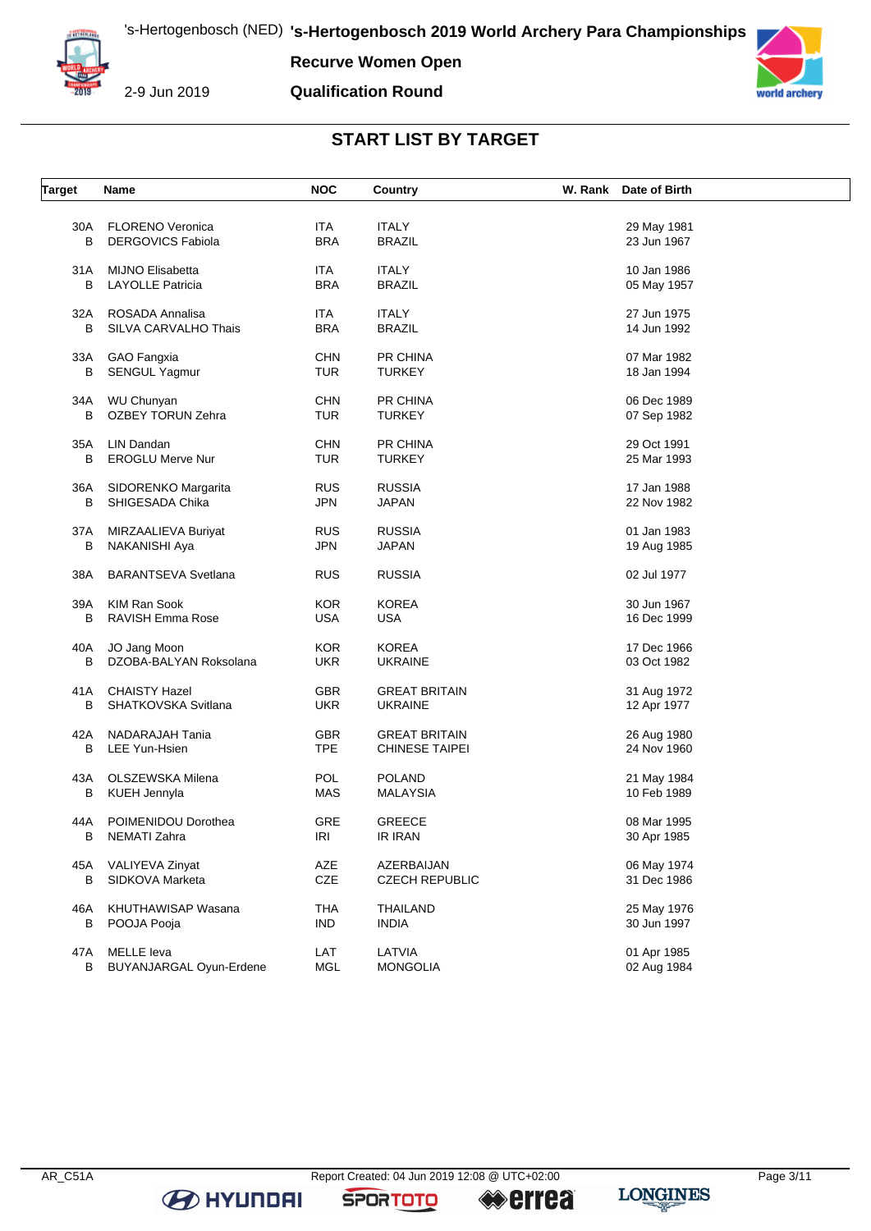

**Recurve Women Open**

**Qualification Round**



### **START LIST BY TARGET**

| <b>Target</b> | Name                       | <b>NOC</b> | Country               | W. Rank Date of Birth |  |
|---------------|----------------------------|------------|-----------------------|-----------------------|--|
|               |                            |            |                       |                       |  |
| 30A           | <b>FLORENO Veronica</b>    | <b>ITA</b> | <b>ITALY</b>          | 29 May 1981           |  |
| B             | <b>DERGOVICS Fabiola</b>   | <b>BRA</b> | <b>BRAZIL</b>         | 23 Jun 1967           |  |
| 31 A          | <b>MIJNO Elisabetta</b>    | <b>ITA</b> | <b>ITALY</b>          | 10 Jan 1986           |  |
| В             | <b>LAYOLLE Patricia</b>    | <b>BRA</b> | <b>BRAZIL</b>         | 05 May 1957           |  |
|               |                            |            |                       |                       |  |
| 32A           | ROSADA Annalisa            | <b>ITA</b> | <b>ITALY</b>          | 27 Jun 1975           |  |
| B             | SILVA CARVALHO Thais       | <b>BRA</b> | <b>BRAZIL</b>         | 14 Jun 1992           |  |
| 33A           | GAO Fangxia                | <b>CHN</b> | PR CHINA              | 07 Mar 1982           |  |
| В             | SENGUL Yagmur              | <b>TUR</b> | <b>TURKEY</b>         | 18 Jan 1994           |  |
|               |                            |            |                       |                       |  |
| 34A           | WU Chunyan                 | <b>CHN</b> | PR CHINA              | 06 Dec 1989           |  |
| В             | OZBEY TORUN Zehra          | TUR        | <b>TURKEY</b>         | 07 Sep 1982           |  |
|               |                            |            |                       |                       |  |
| 35A           | LIN Dandan                 | <b>CHN</b> | PR CHINA              | 29 Oct 1991           |  |
| B             | <b>EROGLU Merve Nur</b>    | <b>TUR</b> | <b>TURKEY</b>         | 25 Mar 1993           |  |
| 36A           | SIDORENKO Margarita        | <b>RUS</b> | <b>RUSSIA</b>         | 17 Jan 1988           |  |
| в             | SHIGESADA Chika            | <b>JPN</b> | <b>JAPAN</b>          | 22 Nov 1982           |  |
|               |                            |            |                       |                       |  |
| 37A           | MIRZAALIEVA Buriyat        | <b>RUS</b> | <b>RUSSIA</b>         | 01 Jan 1983           |  |
| в             | NAKANISHI Aya              | <b>JPN</b> | <b>JAPAN</b>          | 19 Aug 1985           |  |
|               |                            |            |                       |                       |  |
| 38A           | <b>BARANTSEVA Svetlana</b> | <b>RUS</b> | <b>RUSSIA</b>         | 02 Jul 1977           |  |
| 39A           | <b>KIM Ran Sook</b>        | <b>KOR</b> | <b>KOREA</b>          | 30 Jun 1967           |  |
| В             | RAVISH Emma Rose           | <b>USA</b> | <b>USA</b>            | 16 Dec 1999           |  |
|               |                            |            |                       |                       |  |
| 40A           | JO Jang Moon               | <b>KOR</b> | <b>KOREA</b>          | 17 Dec 1966           |  |
| B             | DZOBA-BALYAN Roksolana     | <b>UKR</b> | <b>UKRAINE</b>        | 03 Oct 1982           |  |
| 41A           | <b>CHAISTY Hazel</b>       | GBR        | <b>GREAT BRITAIN</b>  | 31 Aug 1972           |  |
| В             | SHATKOVSKA Svitlana        | <b>UKR</b> | <b>UKRAINE</b>        | 12 Apr 1977           |  |
|               |                            |            |                       |                       |  |
| 42A           | NADARAJAH Tania            | <b>GBR</b> | <b>GREAT BRITAIN</b>  | 26 Aug 1980           |  |
| В             | <b>LEE Yun-Hsien</b>       | <b>TPE</b> | <b>CHINESE TAIPEI</b> | 24 Nov 1960           |  |
| 43A           | OLSZEWSKA Milena           | <b>POL</b> | <b>POLAND</b>         |                       |  |
| В             |                            | MAS        | <b>MALAYSIA</b>       | 21 May 1984           |  |
|               | KUEH Jennyla               |            |                       | 10 Feb 1989           |  |
| 44A           | POIMENIDOU Dorothea        | GRE        | <b>GREECE</b>         | 08 Mar 1995           |  |
| В             | NEMATI Zahra               | IRI        | IR IRAN               | 30 Apr 1985           |  |
|               |                            |            |                       |                       |  |
| 45A           | VALIYEVA Zinyat            | AZE        | AZERBAIJAN            | 06 May 1974           |  |
| В             | SIDKOVA Marketa            | CZE        | <b>CZECH REPUBLIC</b> | 31 Dec 1986           |  |
| 46A           | KHUTHAWISAP Wasana         | <b>THA</b> | <b>THAILAND</b>       | 25 May 1976           |  |
| В             | POOJA Pooja                | <b>IND</b> | <b>INDIA</b>          | 30 Jun 1997           |  |
|               |                            |            |                       |                       |  |
| 47A           | <b>MELLE</b> leva          | LAT        | LATVIA                | 01 Apr 1985           |  |
| В             | BUYANJARGAL Oyun-Erdene    | MGL        | <b>MONGOLIA</b>       | 02 Aug 1984           |  |

**B** HYUNDAI

**SPORTOTO** 

**LONGINES errea**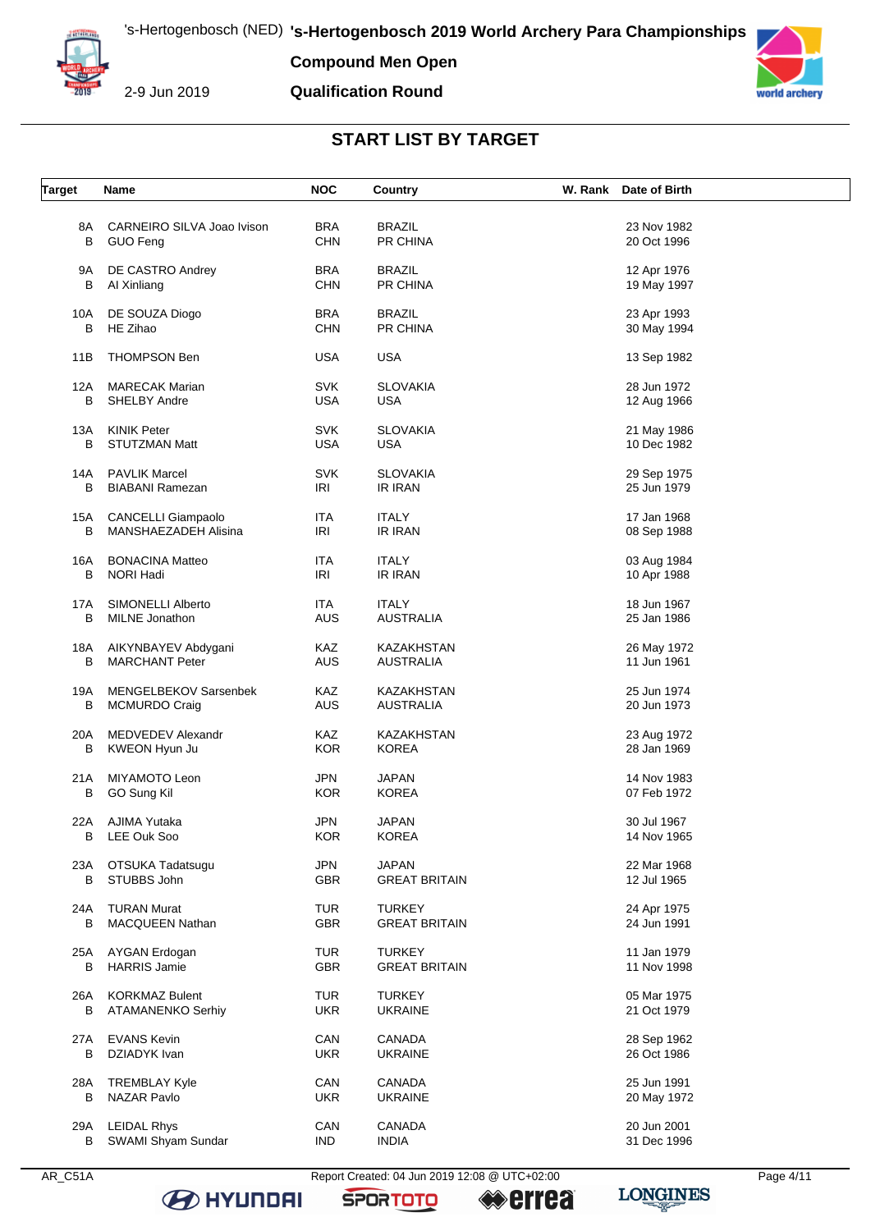

**Compound Men Open**

#### **Qualification Round**



#### **START LIST BY TARGET**

| <b>Target</b> | Name                        | <b>NOC</b> | Country              | W. Rank Date of Birth |  |
|---------------|-----------------------------|------------|----------------------|-----------------------|--|
|               |                             |            |                      |                       |  |
| 8A            | CARNEIRO SILVA Joao Ivison  | <b>BRA</b> | <b>BRAZIL</b>        | 23 Nov 1982           |  |
| B             | <b>GUO Feng</b>             | <b>CHN</b> | PR CHINA             | 20 Oct 1996           |  |
|               |                             |            |                      |                       |  |
| 9Α            | DE CASTRO Andrey            | <b>BRA</b> | <b>BRAZIL</b>        | 12 Apr 1976           |  |
|               |                             |            |                      |                       |  |
| B             | Al Xinliang                 | <b>CHN</b> | PR CHINA             | 19 May 1997           |  |
|               |                             | <b>BRA</b> | <b>BRAZIL</b>        |                       |  |
| 10A           | DE SOUZA Diogo              |            |                      | 23 Apr 1993           |  |
| В             | HE Zihao                    | <b>CHN</b> | PR CHINA             | 30 May 1994           |  |
|               |                             |            |                      |                       |  |
| 11B           | <b>THOMPSON Ben</b>         | <b>USA</b> | <b>USA</b>           | 13 Sep 1982           |  |
|               |                             |            |                      |                       |  |
| 12A           | <b>MARECAK Marian</b>       | <b>SVK</b> | <b>SLOVAKIA</b>      | 28 Jun 1972           |  |
| B             | <b>SHELBY Andre</b>         | <b>USA</b> | <b>USA</b>           | 12 Aug 1966           |  |
|               |                             |            |                      |                       |  |
| 13A           | <b>KINIK Peter</b>          | <b>SVK</b> | <b>SLOVAKIA</b>      | 21 May 1986           |  |
| B             | <b>STUTZMAN Matt</b>        | <b>USA</b> | <b>USA</b>           | 10 Dec 1982           |  |
|               |                             |            |                      |                       |  |
| 14A           | <b>PAVLIK Marcel</b>        | <b>SVK</b> | <b>SLOVAKIA</b>      | 29 Sep 1975           |  |
| B             | <b>BIABANI Ramezan</b>      | IRI        | IR IRAN              | 25 Jun 1979           |  |
|               |                             |            |                      |                       |  |
| 15A           | <b>CANCELLI Giampaolo</b>   | <b>ITA</b> | <b>ITALY</b>         | 17 Jan 1968           |  |
| B             | <b>MANSHAEZADEH Alisina</b> | IRI        | IR IRAN              | 08 Sep 1988           |  |
|               |                             |            |                      |                       |  |
| 16A           | <b>BONACINA Matteo</b>      | ITA        | <b>ITALY</b>         | 03 Aug 1984           |  |
| B             | NORI Hadi                   | <b>IRI</b> | IR IRAN              | 10 Apr 1988           |  |
|               |                             |            |                      |                       |  |
| 17A           | SIMONELLI Alberto           | ITA        | <b>ITALY</b>         | 18 Jun 1967           |  |
| В             | MILNE Jonathon              | AUS        | <b>AUSTRALIA</b>     | 25 Jan 1986           |  |
|               |                             |            |                      |                       |  |
| 18A           | AIKYNBAYEV Abdygani         | KAZ        | KAZAKHSTAN           | 26 May 1972           |  |
| В             | <b>MARCHANT Peter</b>       | AUS        | <b>AUSTRALIA</b>     | 11 Jun 1961           |  |
|               |                             |            |                      |                       |  |
| 19A           | MENGELBEKOV Sarsenbek       | KAZ        | KAZAKHSTAN           | 25 Jun 1974           |  |
| В             | <b>MCMURDO Craig</b>        | AUS        | <b>AUSTRALIA</b>     | 20 Jun 1973           |  |
|               |                             |            |                      |                       |  |
| 20A           | MEDVEDEV Alexandr           | KAZ        | KAZAKHSTAN           | 23 Aug 1972           |  |
| B             | KWEON Hyun Ju               | <b>KOR</b> | <b>KOREA</b>         | 28 Jan 1969           |  |
|               |                             |            |                      |                       |  |
| 21A           | MIYAMOTO Leon               | <b>JPN</b> | <b>JAPAN</b>         | 14 Nov 1983           |  |
| В             | GO Sung Kil                 | <b>KOR</b> | <b>KOREA</b>         | 07 Feb 1972           |  |
|               |                             |            |                      |                       |  |
| 22A           | AJIMA Yutaka                | JPN        | JAPAN                | 30 Jul 1967           |  |
| В             | LEE Ouk Soo                 | KOR        | <b>KOREA</b>         | 14 Nov 1965           |  |
|               |                             |            |                      |                       |  |
| 23A           | OTSUKA Tadatsugu            | <b>JPN</b> | <b>JAPAN</b>         | 22 Mar 1968           |  |
| В             | STUBBS John                 | <b>GBR</b> | <b>GREAT BRITAIN</b> | 12 Jul 1965           |  |
|               |                             |            |                      |                       |  |
| 24A           | <b>TURAN Murat</b>          | <b>TUR</b> | <b>TURKEY</b>        | 24 Apr 1975           |  |
| В             | <b>MACQUEEN Nathan</b>      | GBR        | <b>GREAT BRITAIN</b> | 24 Jun 1991           |  |
|               |                             |            |                      |                       |  |
| 25A           | AYGAN Erdogan               | <b>TUR</b> | <b>TURKEY</b>        | 11 Jan 1979           |  |
| В             | <b>HARRIS Jamie</b>         | GBR        | <b>GREAT BRITAIN</b> | 11 Nov 1998           |  |
|               |                             |            |                      |                       |  |
| 26A           | <b>KORKMAZ Bulent</b>       | <b>TUR</b> | <b>TURKEY</b>        | 05 Mar 1975           |  |
| В             | ATAMANENKO Serhiy           | <b>UKR</b> | <b>UKRAINE</b>       | 21 Oct 1979           |  |
|               |                             |            |                      |                       |  |
| 27A           | <b>EVANS Kevin</b>          | CAN        | <b>CANADA</b>        | 28 Sep 1962           |  |
| В             | DZIADYK Ivan                | <b>UKR</b> | <b>UKRAINE</b>       | 26 Oct 1986           |  |
|               |                             |            |                      |                       |  |
| 28A           | <b>TREMBLAY Kyle</b>        | CAN        | CANADA               | 25 Jun 1991           |  |
| В             | NAZAR Pavlo                 | <b>UKR</b> | <b>UKRAINE</b>       | 20 May 1972           |  |
|               |                             |            |                      |                       |  |
| 29A           | <b>LEIDAL Rhys</b>          | CAN        | CANADA               | 20 Jun 2001           |  |
| В             | SWAMI Shyam Sundar          | <b>IND</b> | <b>INDIA</b>         | 31 Dec 1996           |  |
|               |                             |            |                      |                       |  |

**B** HYUNDAI

**SPORTOTO** 

**errea** 

**LONGINES**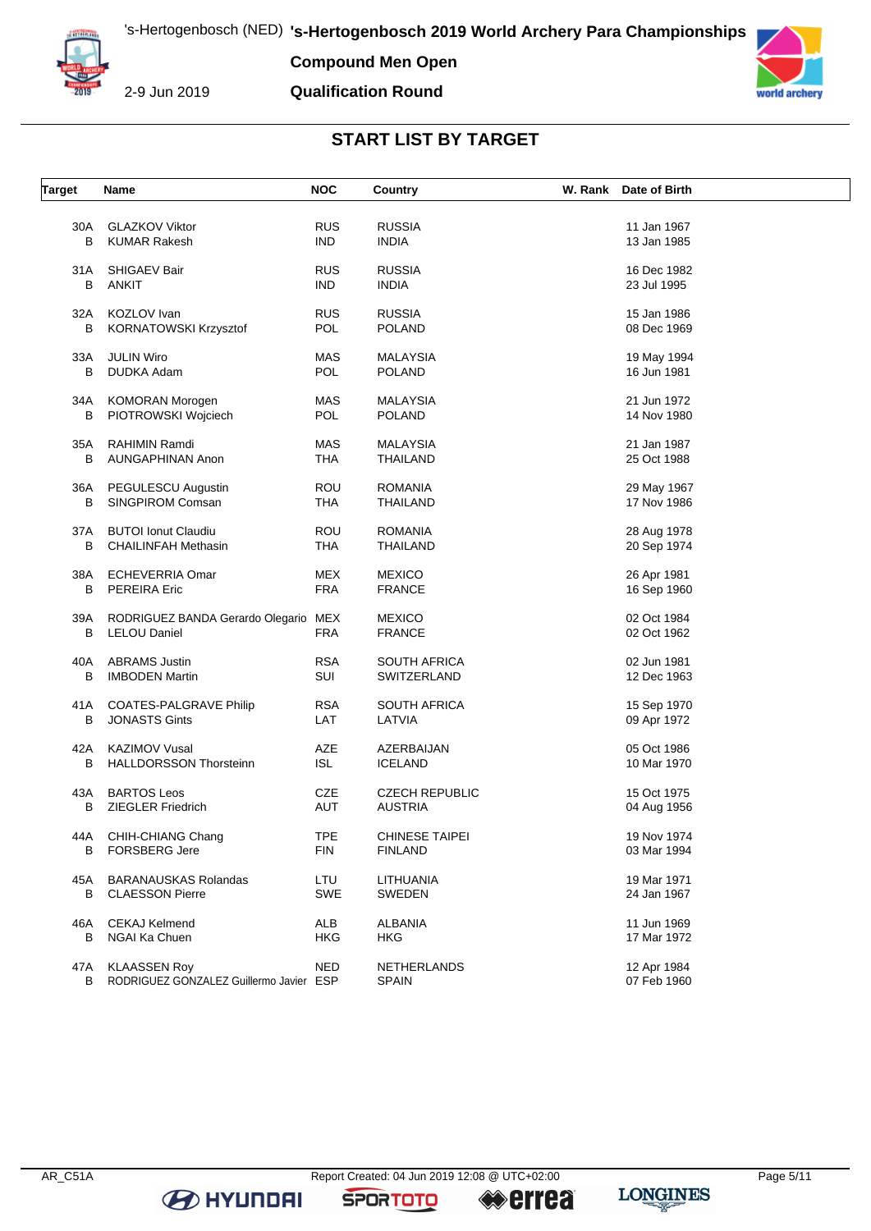

**Compound Men Open**

2-9 Jun 2019

## **Qualification Round**



## **START LIST BY TARGET**

| <b>RUS</b><br><b>RUSSIA</b><br><b>GLAZKOV Viktor</b><br>11 Jan 1967<br>30A<br><b>KUMAR Rakesh</b><br><b>IND</b><br><b>INDIA</b><br>13 Jan 1985<br>в<br><b>RUS</b><br><b>SHIGAEV Bair</b><br><b>RUSSIA</b><br>31 A<br>16 Dec 1982<br>B<br><b>ANKIT</b><br><b>IND</b><br><b>INDIA</b><br>23 Jul 1995<br>KOZLOV Ivan<br><b>RUS</b><br><b>RUSSIA</b><br>32A<br>15 Jan 1986<br><b>POL</b><br>В<br>KORNATOWSKI Krzysztof<br>POLAND<br>08 Dec 1969<br>MAS<br>33A<br><b>JULIN Wiro</b><br><b>MALAYSIA</b><br>19 May 1994<br>B<br>DUDKA Adam<br><b>POL</b><br><b>POLAND</b><br>16 Jun 1981<br><b>MAS</b><br>34A<br><b>KOMORAN Morogen</b><br><b>MALAYSIA</b><br>21 Jun 1972<br>В<br>PIOTROWSKI Wojciech<br><b>POL</b><br><b>POLAND</b><br>14 Nov 1980<br><b>MAS</b><br>35A<br>RAHIMIN Ramdi<br><b>MALAYSIA</b><br>21 Jan 1987<br>В<br>AUNGAPHINAN Anon<br>THA<br>THAILAND<br>25 Oct 1988<br><b>ROU</b><br>36A<br>PEGULESCU Augustin<br><b>ROMANIA</b><br>29 May 1967<br>В<br>SINGPIROM Comsan<br>THA<br>THAILAND<br>17 Nov 1986<br><b>ROU</b><br><b>BUTOI Ionut Claudiu</b><br><b>ROMANIA</b><br>28 Aug 1978<br>37A<br>В<br><b>CHAILINFAH Methasin</b><br><b>THA</b><br>THAILAND<br>20 Sep 1974<br><b>MEX</b><br>38A<br>ECHEVERRIA Omar<br><b>MEXICO</b><br>26 Apr 1981<br><b>FRA</b><br>В<br><b>PEREIRA Eric</b><br><b>FRANCE</b><br>16 Sep 1960<br>RODRIGUEZ BANDA Gerardo Olegario MEX<br><b>MEXICO</b><br>02 Oct 1984<br>39A<br>B<br><b>LELOU Daniel</b><br><b>FRA</b><br><b>FRANCE</b><br>02 Oct 1962<br><b>RSA</b><br>40A<br><b>ABRAMS Justin</b><br><b>SOUTH AFRICA</b><br>02 Jun 1981<br>В<br><b>IMBODEN Martin</b><br>SUI<br>SWITZERLAND<br>12 Dec 1963<br><b>RSA</b><br><b>COATES-PALGRAVE Philip</b><br><b>SOUTH AFRICA</b><br>15 Sep 1970<br>41 A<br>В<br><b>JONASTS Gints</b><br>LAT<br>LATVIA<br>09 Apr 1972<br>AZE<br>42A<br><b>KAZIMOV Vusal</b><br>AZERBAIJAN<br>05 Oct 1986<br><b>ISL</b><br><b>HALLDORSSON Thorsteinn</b><br>В<br>ICELAND<br>10 Mar 1970<br><b>BARTOS Leos</b><br>CZE<br><b>CZECH REPUBLIC</b><br>15 Oct 1975<br>43A<br>B<br><b>ZIEGLER Friedrich</b><br>AUT<br><b>AUSTRIA</b><br>04 Aug 1956<br><b>TPE</b><br>44A<br>CHIH-CHIANG Chang<br><b>CHINESE TAIPEI</b><br>19 Nov 1974<br><b>FIN</b><br><b>FINLAND</b><br>B<br><b>FORSBERG Jere</b><br>03 Mar 1994<br><b>BARANAUSKAS Rolandas</b><br>LTU<br>LITHUANIA<br>19 Mar 1971<br>45A<br>SWE<br>B<br><b>CLAESSON Pierre</b><br><b>SWEDEN</b><br>24 Jan 1967<br>ALB<br><b>CEKAJ Kelmend</b><br><b>ALBANIA</b><br>11 Jun 1969<br>46A<br><b>HKG</b><br>B<br>NGAI Ka Chuen<br><b>HKG</b><br>17 Mar 1972<br><b>KLAASSEN Roy</b><br><b>NED</b><br>12 Apr 1984<br>47A<br>NETHERLANDS<br>RODRIGUEZ GONZALEZ Guillermo Javier ESP<br>07 Feb 1960<br>B<br><b>SPAIN</b> | <b>Target</b> | Name | <b>NOC</b> | Country | W. Rank Date of Birth |
|---------------------------------------------------------------------------------------------------------------------------------------------------------------------------------------------------------------------------------------------------------------------------------------------------------------------------------------------------------------------------------------------------------------------------------------------------------------------------------------------------------------------------------------------------------------------------------------------------------------------------------------------------------------------------------------------------------------------------------------------------------------------------------------------------------------------------------------------------------------------------------------------------------------------------------------------------------------------------------------------------------------------------------------------------------------------------------------------------------------------------------------------------------------------------------------------------------------------------------------------------------------------------------------------------------------------------------------------------------------------------------------------------------------------------------------------------------------------------------------------------------------------------------------------------------------------------------------------------------------------------------------------------------------------------------------------------------------------------------------------------------------------------------------------------------------------------------------------------------------------------------------------------------------------------------------------------------------------------------------------------------------------------------------------------------------------------------------------------------------------------------------------------------------------------------------------------------------------------------------------------------------------------------------------------------------------------------------------------------------------------------------------------------------------------------------------------------------------------------------------------------------------------------------------------------------------------------------------------------------------------------------------------------------------------------------------------------------------------------------|---------------|------|------------|---------|-----------------------|
|                                                                                                                                                                                                                                                                                                                                                                                                                                                                                                                                                                                                                                                                                                                                                                                                                                                                                                                                                                                                                                                                                                                                                                                                                                                                                                                                                                                                                                                                                                                                                                                                                                                                                                                                                                                                                                                                                                                                                                                                                                                                                                                                                                                                                                                                                                                                                                                                                                                                                                                                                                                                                                                                                                                                       |               |      |            |         |                       |
|                                                                                                                                                                                                                                                                                                                                                                                                                                                                                                                                                                                                                                                                                                                                                                                                                                                                                                                                                                                                                                                                                                                                                                                                                                                                                                                                                                                                                                                                                                                                                                                                                                                                                                                                                                                                                                                                                                                                                                                                                                                                                                                                                                                                                                                                                                                                                                                                                                                                                                                                                                                                                                                                                                                                       |               |      |            |         |                       |
|                                                                                                                                                                                                                                                                                                                                                                                                                                                                                                                                                                                                                                                                                                                                                                                                                                                                                                                                                                                                                                                                                                                                                                                                                                                                                                                                                                                                                                                                                                                                                                                                                                                                                                                                                                                                                                                                                                                                                                                                                                                                                                                                                                                                                                                                                                                                                                                                                                                                                                                                                                                                                                                                                                                                       |               |      |            |         |                       |
|                                                                                                                                                                                                                                                                                                                                                                                                                                                                                                                                                                                                                                                                                                                                                                                                                                                                                                                                                                                                                                                                                                                                                                                                                                                                                                                                                                                                                                                                                                                                                                                                                                                                                                                                                                                                                                                                                                                                                                                                                                                                                                                                                                                                                                                                                                                                                                                                                                                                                                                                                                                                                                                                                                                                       |               |      |            |         |                       |
|                                                                                                                                                                                                                                                                                                                                                                                                                                                                                                                                                                                                                                                                                                                                                                                                                                                                                                                                                                                                                                                                                                                                                                                                                                                                                                                                                                                                                                                                                                                                                                                                                                                                                                                                                                                                                                                                                                                                                                                                                                                                                                                                                                                                                                                                                                                                                                                                                                                                                                                                                                                                                                                                                                                                       |               |      |            |         |                       |
|                                                                                                                                                                                                                                                                                                                                                                                                                                                                                                                                                                                                                                                                                                                                                                                                                                                                                                                                                                                                                                                                                                                                                                                                                                                                                                                                                                                                                                                                                                                                                                                                                                                                                                                                                                                                                                                                                                                                                                                                                                                                                                                                                                                                                                                                                                                                                                                                                                                                                                                                                                                                                                                                                                                                       |               |      |            |         |                       |
|                                                                                                                                                                                                                                                                                                                                                                                                                                                                                                                                                                                                                                                                                                                                                                                                                                                                                                                                                                                                                                                                                                                                                                                                                                                                                                                                                                                                                                                                                                                                                                                                                                                                                                                                                                                                                                                                                                                                                                                                                                                                                                                                                                                                                                                                                                                                                                                                                                                                                                                                                                                                                                                                                                                                       |               |      |            |         |                       |
|                                                                                                                                                                                                                                                                                                                                                                                                                                                                                                                                                                                                                                                                                                                                                                                                                                                                                                                                                                                                                                                                                                                                                                                                                                                                                                                                                                                                                                                                                                                                                                                                                                                                                                                                                                                                                                                                                                                                                                                                                                                                                                                                                                                                                                                                                                                                                                                                                                                                                                                                                                                                                                                                                                                                       |               |      |            |         |                       |
|                                                                                                                                                                                                                                                                                                                                                                                                                                                                                                                                                                                                                                                                                                                                                                                                                                                                                                                                                                                                                                                                                                                                                                                                                                                                                                                                                                                                                                                                                                                                                                                                                                                                                                                                                                                                                                                                                                                                                                                                                                                                                                                                                                                                                                                                                                                                                                                                                                                                                                                                                                                                                                                                                                                                       |               |      |            |         |                       |
|                                                                                                                                                                                                                                                                                                                                                                                                                                                                                                                                                                                                                                                                                                                                                                                                                                                                                                                                                                                                                                                                                                                                                                                                                                                                                                                                                                                                                                                                                                                                                                                                                                                                                                                                                                                                                                                                                                                                                                                                                                                                                                                                                                                                                                                                                                                                                                                                                                                                                                                                                                                                                                                                                                                                       |               |      |            |         |                       |
|                                                                                                                                                                                                                                                                                                                                                                                                                                                                                                                                                                                                                                                                                                                                                                                                                                                                                                                                                                                                                                                                                                                                                                                                                                                                                                                                                                                                                                                                                                                                                                                                                                                                                                                                                                                                                                                                                                                                                                                                                                                                                                                                                                                                                                                                                                                                                                                                                                                                                                                                                                                                                                                                                                                                       |               |      |            |         |                       |
|                                                                                                                                                                                                                                                                                                                                                                                                                                                                                                                                                                                                                                                                                                                                                                                                                                                                                                                                                                                                                                                                                                                                                                                                                                                                                                                                                                                                                                                                                                                                                                                                                                                                                                                                                                                                                                                                                                                                                                                                                                                                                                                                                                                                                                                                                                                                                                                                                                                                                                                                                                                                                                                                                                                                       |               |      |            |         |                       |
|                                                                                                                                                                                                                                                                                                                                                                                                                                                                                                                                                                                                                                                                                                                                                                                                                                                                                                                                                                                                                                                                                                                                                                                                                                                                                                                                                                                                                                                                                                                                                                                                                                                                                                                                                                                                                                                                                                                                                                                                                                                                                                                                                                                                                                                                                                                                                                                                                                                                                                                                                                                                                                                                                                                                       |               |      |            |         |                       |
|                                                                                                                                                                                                                                                                                                                                                                                                                                                                                                                                                                                                                                                                                                                                                                                                                                                                                                                                                                                                                                                                                                                                                                                                                                                                                                                                                                                                                                                                                                                                                                                                                                                                                                                                                                                                                                                                                                                                                                                                                                                                                                                                                                                                                                                                                                                                                                                                                                                                                                                                                                                                                                                                                                                                       |               |      |            |         |                       |
|                                                                                                                                                                                                                                                                                                                                                                                                                                                                                                                                                                                                                                                                                                                                                                                                                                                                                                                                                                                                                                                                                                                                                                                                                                                                                                                                                                                                                                                                                                                                                                                                                                                                                                                                                                                                                                                                                                                                                                                                                                                                                                                                                                                                                                                                                                                                                                                                                                                                                                                                                                                                                                                                                                                                       |               |      |            |         |                       |
|                                                                                                                                                                                                                                                                                                                                                                                                                                                                                                                                                                                                                                                                                                                                                                                                                                                                                                                                                                                                                                                                                                                                                                                                                                                                                                                                                                                                                                                                                                                                                                                                                                                                                                                                                                                                                                                                                                                                                                                                                                                                                                                                                                                                                                                                                                                                                                                                                                                                                                                                                                                                                                                                                                                                       |               |      |            |         |                       |
|                                                                                                                                                                                                                                                                                                                                                                                                                                                                                                                                                                                                                                                                                                                                                                                                                                                                                                                                                                                                                                                                                                                                                                                                                                                                                                                                                                                                                                                                                                                                                                                                                                                                                                                                                                                                                                                                                                                                                                                                                                                                                                                                                                                                                                                                                                                                                                                                                                                                                                                                                                                                                                                                                                                                       |               |      |            |         |                       |
|                                                                                                                                                                                                                                                                                                                                                                                                                                                                                                                                                                                                                                                                                                                                                                                                                                                                                                                                                                                                                                                                                                                                                                                                                                                                                                                                                                                                                                                                                                                                                                                                                                                                                                                                                                                                                                                                                                                                                                                                                                                                                                                                                                                                                                                                                                                                                                                                                                                                                                                                                                                                                                                                                                                                       |               |      |            |         |                       |
|                                                                                                                                                                                                                                                                                                                                                                                                                                                                                                                                                                                                                                                                                                                                                                                                                                                                                                                                                                                                                                                                                                                                                                                                                                                                                                                                                                                                                                                                                                                                                                                                                                                                                                                                                                                                                                                                                                                                                                                                                                                                                                                                                                                                                                                                                                                                                                                                                                                                                                                                                                                                                                                                                                                                       |               |      |            |         |                       |
|                                                                                                                                                                                                                                                                                                                                                                                                                                                                                                                                                                                                                                                                                                                                                                                                                                                                                                                                                                                                                                                                                                                                                                                                                                                                                                                                                                                                                                                                                                                                                                                                                                                                                                                                                                                                                                                                                                                                                                                                                                                                                                                                                                                                                                                                                                                                                                                                                                                                                                                                                                                                                                                                                                                                       |               |      |            |         |                       |
|                                                                                                                                                                                                                                                                                                                                                                                                                                                                                                                                                                                                                                                                                                                                                                                                                                                                                                                                                                                                                                                                                                                                                                                                                                                                                                                                                                                                                                                                                                                                                                                                                                                                                                                                                                                                                                                                                                                                                                                                                                                                                                                                                                                                                                                                                                                                                                                                                                                                                                                                                                                                                                                                                                                                       |               |      |            |         |                       |
|                                                                                                                                                                                                                                                                                                                                                                                                                                                                                                                                                                                                                                                                                                                                                                                                                                                                                                                                                                                                                                                                                                                                                                                                                                                                                                                                                                                                                                                                                                                                                                                                                                                                                                                                                                                                                                                                                                                                                                                                                                                                                                                                                                                                                                                                                                                                                                                                                                                                                                                                                                                                                                                                                                                                       |               |      |            |         |                       |
|                                                                                                                                                                                                                                                                                                                                                                                                                                                                                                                                                                                                                                                                                                                                                                                                                                                                                                                                                                                                                                                                                                                                                                                                                                                                                                                                                                                                                                                                                                                                                                                                                                                                                                                                                                                                                                                                                                                                                                                                                                                                                                                                                                                                                                                                                                                                                                                                                                                                                                                                                                                                                                                                                                                                       |               |      |            |         |                       |
|                                                                                                                                                                                                                                                                                                                                                                                                                                                                                                                                                                                                                                                                                                                                                                                                                                                                                                                                                                                                                                                                                                                                                                                                                                                                                                                                                                                                                                                                                                                                                                                                                                                                                                                                                                                                                                                                                                                                                                                                                                                                                                                                                                                                                                                                                                                                                                                                                                                                                                                                                                                                                                                                                                                                       |               |      |            |         |                       |
|                                                                                                                                                                                                                                                                                                                                                                                                                                                                                                                                                                                                                                                                                                                                                                                                                                                                                                                                                                                                                                                                                                                                                                                                                                                                                                                                                                                                                                                                                                                                                                                                                                                                                                                                                                                                                                                                                                                                                                                                                                                                                                                                                                                                                                                                                                                                                                                                                                                                                                                                                                                                                                                                                                                                       |               |      |            |         |                       |
|                                                                                                                                                                                                                                                                                                                                                                                                                                                                                                                                                                                                                                                                                                                                                                                                                                                                                                                                                                                                                                                                                                                                                                                                                                                                                                                                                                                                                                                                                                                                                                                                                                                                                                                                                                                                                                                                                                                                                                                                                                                                                                                                                                                                                                                                                                                                                                                                                                                                                                                                                                                                                                                                                                                                       |               |      |            |         |                       |
|                                                                                                                                                                                                                                                                                                                                                                                                                                                                                                                                                                                                                                                                                                                                                                                                                                                                                                                                                                                                                                                                                                                                                                                                                                                                                                                                                                                                                                                                                                                                                                                                                                                                                                                                                                                                                                                                                                                                                                                                                                                                                                                                                                                                                                                                                                                                                                                                                                                                                                                                                                                                                                                                                                                                       |               |      |            |         |                       |
|                                                                                                                                                                                                                                                                                                                                                                                                                                                                                                                                                                                                                                                                                                                                                                                                                                                                                                                                                                                                                                                                                                                                                                                                                                                                                                                                                                                                                                                                                                                                                                                                                                                                                                                                                                                                                                                                                                                                                                                                                                                                                                                                                                                                                                                                                                                                                                                                                                                                                                                                                                                                                                                                                                                                       |               |      |            |         |                       |
|                                                                                                                                                                                                                                                                                                                                                                                                                                                                                                                                                                                                                                                                                                                                                                                                                                                                                                                                                                                                                                                                                                                                                                                                                                                                                                                                                                                                                                                                                                                                                                                                                                                                                                                                                                                                                                                                                                                                                                                                                                                                                                                                                                                                                                                                                                                                                                                                                                                                                                                                                                                                                                                                                                                                       |               |      |            |         |                       |
|                                                                                                                                                                                                                                                                                                                                                                                                                                                                                                                                                                                                                                                                                                                                                                                                                                                                                                                                                                                                                                                                                                                                                                                                                                                                                                                                                                                                                                                                                                                                                                                                                                                                                                                                                                                                                                                                                                                                                                                                                                                                                                                                                                                                                                                                                                                                                                                                                                                                                                                                                                                                                                                                                                                                       |               |      |            |         |                       |
|                                                                                                                                                                                                                                                                                                                                                                                                                                                                                                                                                                                                                                                                                                                                                                                                                                                                                                                                                                                                                                                                                                                                                                                                                                                                                                                                                                                                                                                                                                                                                                                                                                                                                                                                                                                                                                                                                                                                                                                                                                                                                                                                                                                                                                                                                                                                                                                                                                                                                                                                                                                                                                                                                                                                       |               |      |            |         |                       |
|                                                                                                                                                                                                                                                                                                                                                                                                                                                                                                                                                                                                                                                                                                                                                                                                                                                                                                                                                                                                                                                                                                                                                                                                                                                                                                                                                                                                                                                                                                                                                                                                                                                                                                                                                                                                                                                                                                                                                                                                                                                                                                                                                                                                                                                                                                                                                                                                                                                                                                                                                                                                                                                                                                                                       |               |      |            |         |                       |
|                                                                                                                                                                                                                                                                                                                                                                                                                                                                                                                                                                                                                                                                                                                                                                                                                                                                                                                                                                                                                                                                                                                                                                                                                                                                                                                                                                                                                                                                                                                                                                                                                                                                                                                                                                                                                                                                                                                                                                                                                                                                                                                                                                                                                                                                                                                                                                                                                                                                                                                                                                                                                                                                                                                                       |               |      |            |         |                       |
|                                                                                                                                                                                                                                                                                                                                                                                                                                                                                                                                                                                                                                                                                                                                                                                                                                                                                                                                                                                                                                                                                                                                                                                                                                                                                                                                                                                                                                                                                                                                                                                                                                                                                                                                                                                                                                                                                                                                                                                                                                                                                                                                                                                                                                                                                                                                                                                                                                                                                                                                                                                                                                                                                                                                       |               |      |            |         |                       |
|                                                                                                                                                                                                                                                                                                                                                                                                                                                                                                                                                                                                                                                                                                                                                                                                                                                                                                                                                                                                                                                                                                                                                                                                                                                                                                                                                                                                                                                                                                                                                                                                                                                                                                                                                                                                                                                                                                                                                                                                                                                                                                                                                                                                                                                                                                                                                                                                                                                                                                                                                                                                                                                                                                                                       |               |      |            |         |                       |
|                                                                                                                                                                                                                                                                                                                                                                                                                                                                                                                                                                                                                                                                                                                                                                                                                                                                                                                                                                                                                                                                                                                                                                                                                                                                                                                                                                                                                                                                                                                                                                                                                                                                                                                                                                                                                                                                                                                                                                                                                                                                                                                                                                                                                                                                                                                                                                                                                                                                                                                                                                                                                                                                                                                                       |               |      |            |         |                       |
|                                                                                                                                                                                                                                                                                                                                                                                                                                                                                                                                                                                                                                                                                                                                                                                                                                                                                                                                                                                                                                                                                                                                                                                                                                                                                                                                                                                                                                                                                                                                                                                                                                                                                                                                                                                                                                                                                                                                                                                                                                                                                                                                                                                                                                                                                                                                                                                                                                                                                                                                                                                                                                                                                                                                       |               |      |            |         |                       |
|                                                                                                                                                                                                                                                                                                                                                                                                                                                                                                                                                                                                                                                                                                                                                                                                                                                                                                                                                                                                                                                                                                                                                                                                                                                                                                                                                                                                                                                                                                                                                                                                                                                                                                                                                                                                                                                                                                                                                                                                                                                                                                                                                                                                                                                                                                                                                                                                                                                                                                                                                                                                                                                                                                                                       |               |      |            |         |                       |
|                                                                                                                                                                                                                                                                                                                                                                                                                                                                                                                                                                                                                                                                                                                                                                                                                                                                                                                                                                                                                                                                                                                                                                                                                                                                                                                                                                                                                                                                                                                                                                                                                                                                                                                                                                                                                                                                                                                                                                                                                                                                                                                                                                                                                                                                                                                                                                                                                                                                                                                                                                                                                                                                                                                                       |               |      |            |         |                       |
|                                                                                                                                                                                                                                                                                                                                                                                                                                                                                                                                                                                                                                                                                                                                                                                                                                                                                                                                                                                                                                                                                                                                                                                                                                                                                                                                                                                                                                                                                                                                                                                                                                                                                                                                                                                                                                                                                                                                                                                                                                                                                                                                                                                                                                                                                                                                                                                                                                                                                                                                                                                                                                                                                                                                       |               |      |            |         |                       |
|                                                                                                                                                                                                                                                                                                                                                                                                                                                                                                                                                                                                                                                                                                                                                                                                                                                                                                                                                                                                                                                                                                                                                                                                                                                                                                                                                                                                                                                                                                                                                                                                                                                                                                                                                                                                                                                                                                                                                                                                                                                                                                                                                                                                                                                                                                                                                                                                                                                                                                                                                                                                                                                                                                                                       |               |      |            |         |                       |
|                                                                                                                                                                                                                                                                                                                                                                                                                                                                                                                                                                                                                                                                                                                                                                                                                                                                                                                                                                                                                                                                                                                                                                                                                                                                                                                                                                                                                                                                                                                                                                                                                                                                                                                                                                                                                                                                                                                                                                                                                                                                                                                                                                                                                                                                                                                                                                                                                                                                                                                                                                                                                                                                                                                                       |               |      |            |         |                       |
|                                                                                                                                                                                                                                                                                                                                                                                                                                                                                                                                                                                                                                                                                                                                                                                                                                                                                                                                                                                                                                                                                                                                                                                                                                                                                                                                                                                                                                                                                                                                                                                                                                                                                                                                                                                                                                                                                                                                                                                                                                                                                                                                                                                                                                                                                                                                                                                                                                                                                                                                                                                                                                                                                                                                       |               |      |            |         |                       |
|                                                                                                                                                                                                                                                                                                                                                                                                                                                                                                                                                                                                                                                                                                                                                                                                                                                                                                                                                                                                                                                                                                                                                                                                                                                                                                                                                                                                                                                                                                                                                                                                                                                                                                                                                                                                                                                                                                                                                                                                                                                                                                                                                                                                                                                                                                                                                                                                                                                                                                                                                                                                                                                                                                                                       |               |      |            |         |                       |
|                                                                                                                                                                                                                                                                                                                                                                                                                                                                                                                                                                                                                                                                                                                                                                                                                                                                                                                                                                                                                                                                                                                                                                                                                                                                                                                                                                                                                                                                                                                                                                                                                                                                                                                                                                                                                                                                                                                                                                                                                                                                                                                                                                                                                                                                                                                                                                                                                                                                                                                                                                                                                                                                                                                                       |               |      |            |         |                       |
|                                                                                                                                                                                                                                                                                                                                                                                                                                                                                                                                                                                                                                                                                                                                                                                                                                                                                                                                                                                                                                                                                                                                                                                                                                                                                                                                                                                                                                                                                                                                                                                                                                                                                                                                                                                                                                                                                                                                                                                                                                                                                                                                                                                                                                                                                                                                                                                                                                                                                                                                                                                                                                                                                                                                       |               |      |            |         |                       |
|                                                                                                                                                                                                                                                                                                                                                                                                                                                                                                                                                                                                                                                                                                                                                                                                                                                                                                                                                                                                                                                                                                                                                                                                                                                                                                                                                                                                                                                                                                                                                                                                                                                                                                                                                                                                                                                                                                                                                                                                                                                                                                                                                                                                                                                                                                                                                                                                                                                                                                                                                                                                                                                                                                                                       |               |      |            |         |                       |

**B** HYUNDAI

**SPORTOTO** 

**errea**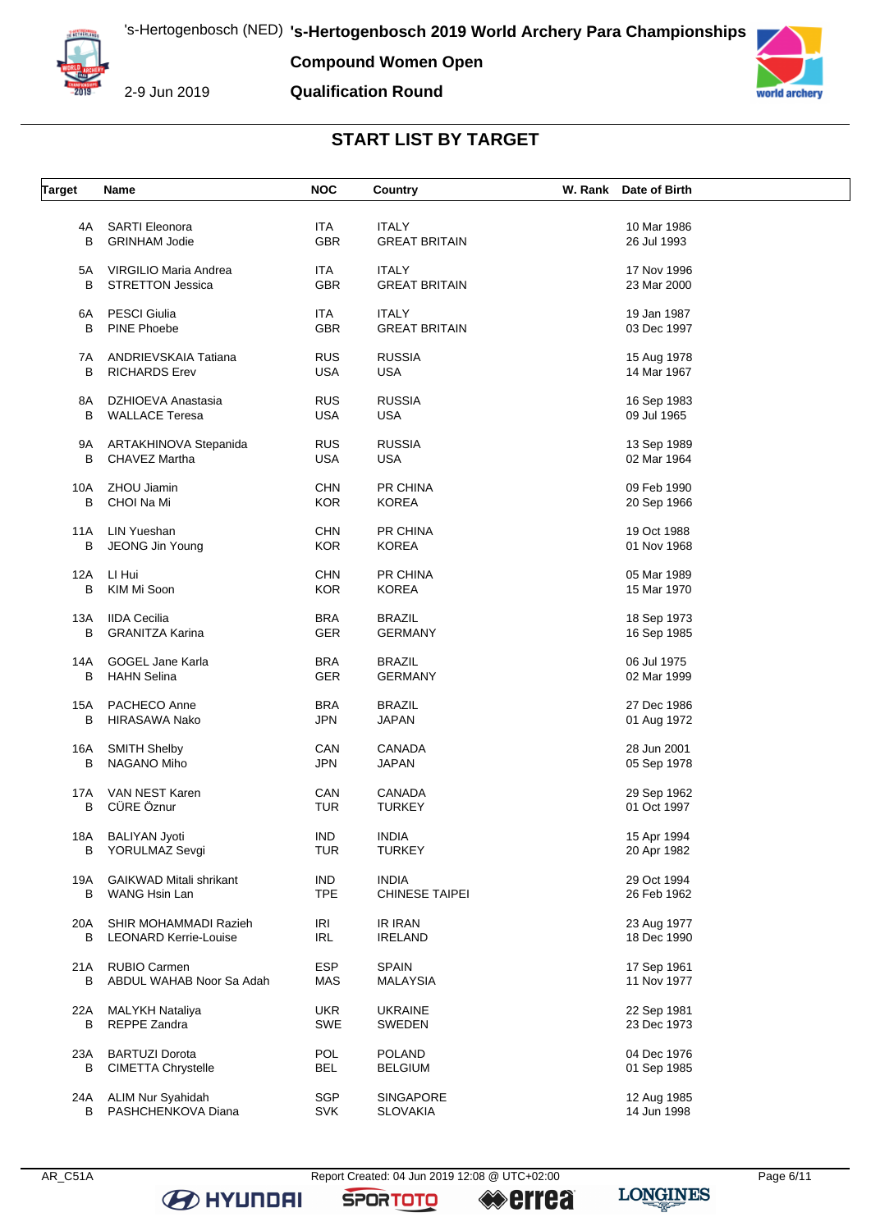

**Compound Women Open**

**Qualification Round**



## **START LIST BY TARGET**

| <b>Target</b> | Name                           | <b>NOC</b> | Country               | W. Rank Date of Birth |  |
|---------------|--------------------------------|------------|-----------------------|-----------------------|--|
|               |                                |            |                       |                       |  |
| 4A            | <b>SARTI Eleonora</b>          | <b>ITA</b> | <b>ITALY</b>          | 10 Mar 1986           |  |
| B             | <b>GRINHAM Jodie</b>           | <b>GBR</b> | <b>GREAT BRITAIN</b>  | 26 Jul 1993           |  |
|               |                                |            |                       |                       |  |
|               |                                |            | <b>ITALY</b>          |                       |  |
| 5A            | VIRGILIO Maria Andrea          | <b>ITA</b> |                       | 17 Nov 1996           |  |
| B             | <b>STRETTON Jessica</b>        | <b>GBR</b> | <b>GREAT BRITAIN</b>  | 23 Mar 2000           |  |
|               |                                |            |                       |                       |  |
| 6A            | <b>PESCI Giulia</b>            | <b>ITA</b> | <b>ITALY</b>          | 19 Jan 1987           |  |
| B             | PINE Phoebe                    | GBR        | <b>GREAT BRITAIN</b>  | 03 Dec 1997           |  |
|               |                                |            |                       |                       |  |
| 7A            | ANDRIEVSKAIA Tatiana           | <b>RUS</b> | <b>RUSSIA</b>         | 15 Aug 1978           |  |
| В             | <b>RICHARDS Erev</b>           | <b>USA</b> | <b>USA</b>            | 14 Mar 1967           |  |
|               |                                |            |                       |                       |  |
| 8A            | DZHIOEVA Anastasia             | <b>RUS</b> | <b>RUSSIA</b>         | 16 Sep 1983           |  |
| B             | <b>WALLACE Teresa</b>          | <b>USA</b> | <b>USA</b>            | 09 Jul 1965           |  |
|               |                                |            |                       |                       |  |
| 9A            | ARTAKHINOVA Stepanida          | <b>RUS</b> | <b>RUSSIA</b>         | 13 Sep 1989           |  |
| В             | CHAVEZ Martha                  | <b>USA</b> | <b>USA</b>            | 02 Mar 1964           |  |
|               |                                |            |                       |                       |  |
| 10A           | ZHOU Jiamin                    | <b>CHN</b> | PR CHINA              | 09 Feb 1990           |  |
| В             | CHOI Na Mi                     | <b>KOR</b> | <b>KOREA</b>          | 20 Sep 1966           |  |
|               |                                |            |                       |                       |  |
| 11A           | <b>LIN Yueshan</b>             | <b>CHN</b> | PR CHINA              | 19 Oct 1988           |  |
| В             | JEONG Jin Young                | <b>KOR</b> | <b>KOREA</b>          | 01 Nov 1968           |  |
|               |                                |            |                       |                       |  |
| 12A           | LI Hui                         | CHN        | PR CHINA              | 05 Mar 1989           |  |
|               |                                |            |                       |                       |  |
| в             | KIM Mi Soon                    | <b>KOR</b> | <b>KOREA</b>          | 15 Mar 1970           |  |
|               | <b>IIDA Cecilia</b>            |            |                       |                       |  |
| 13A           |                                | <b>BRA</b> | <b>BRAZIL</b>         | 18 Sep 1973           |  |
| В             | <b>GRANITZA Karina</b>         | <b>GER</b> | <b>GERMANY</b>        | 16 Sep 1985           |  |
|               |                                |            |                       |                       |  |
| 14A           | GOGEL Jane Karla               | <b>BRA</b> | <b>BRAZIL</b>         | 06 Jul 1975           |  |
| В             | <b>HAHN Selina</b>             | <b>GER</b> | <b>GERMANY</b>        | 02 Mar 1999           |  |
|               |                                |            |                       |                       |  |
| 15A           | PACHECO Anne                   | <b>BRA</b> | <b>BRAZIL</b>         | 27 Dec 1986           |  |
| B             | <b>HIRASAWA Nako</b>           | <b>JPN</b> | <b>JAPAN</b>          | 01 Aug 1972           |  |
|               |                                |            |                       |                       |  |
| 16A           | <b>SMITH Shelby</b>            | CAN        | <b>CANADA</b>         | 28 Jun 2001           |  |
| В             | NAGANO Miho                    | <b>JPN</b> | JAPAN                 | 05 Sep 1978           |  |
|               |                                |            |                       |                       |  |
| 17A           | VAN NEST Karen                 | CAN        | CANADA                | 29 Sep 1962           |  |
| в             | CÜRE Öznur                     | <b>TUR</b> | <b>TURKEY</b>         | 01 Oct 1997           |  |
|               |                                |            |                       |                       |  |
| 18A           | <b>BALIYAN Jyoti</b>           | IND        | <b>INDIA</b>          | 15 Apr 1994           |  |
| В             | YORULMAZ Sevgi                 | <b>TUR</b> | <b>TURKEY</b>         | 20 Apr 1982           |  |
|               |                                |            |                       |                       |  |
| 19A           | <b>GAIKWAD Mitali shrikant</b> | <b>IND</b> | <b>INDIA</b>          | 29 Oct 1994           |  |
| В             | WANG Hsin Lan                  | <b>TPE</b> | <b>CHINESE TAIPEI</b> | 26 Feb 1962           |  |
|               |                                |            |                       |                       |  |
| 20A           | SHIR MOHAMMADI Razieh          | IRI        | IR IRAN               | 23 Aug 1977           |  |
| B             | <b>LEONARD Kerrie-Louise</b>   | <b>IRL</b> | <b>IRELAND</b>        | 18 Dec 1990           |  |
|               |                                |            |                       |                       |  |
| 21 A          | <b>RUBIO Carmen</b>            | <b>ESP</b> | <b>SPAIN</b>          | 17 Sep 1961           |  |
| В             | ABDUL WAHAB Noor Sa Adah       | MAS        | <b>MALAYSIA</b>       | 11 Nov 1977           |  |
|               |                                |            |                       |                       |  |
| 22A           | MALYKH Nataliya                | <b>UKR</b> | <b>UKRAINE</b>        | 22 Sep 1981           |  |
| В             | REPPE Zandra                   | SWE        | SWEDEN                | 23 Dec 1973           |  |
|               |                                |            |                       |                       |  |
| 23A           | <b>BARTUZI Dorota</b>          | POL        | <b>POLAND</b>         | 04 Dec 1976           |  |
| В             | <b>CIMETTA Chrystelle</b>      | BEL.       | <b>BELGIUM</b>        | 01 Sep 1985           |  |
|               |                                |            |                       |                       |  |
| 24A           | ALIM Nur Syahidah              | <b>SGP</b> | <b>SINGAPORE</b>      | 12 Aug 1985           |  |
| В             | PASHCHENKOVA Diana             | <b>SVK</b> | <b>SLOVAKIA</b>       | 14 Jun 1998           |  |
|               |                                |            |                       |                       |  |

**B** HYUNDAI

AR\_C51A Report Created: 04 Jun 2019 12:08 @ UTC+02:00 Page 6/11

**SPORTOTO** 

**errea** 

**LONGINES**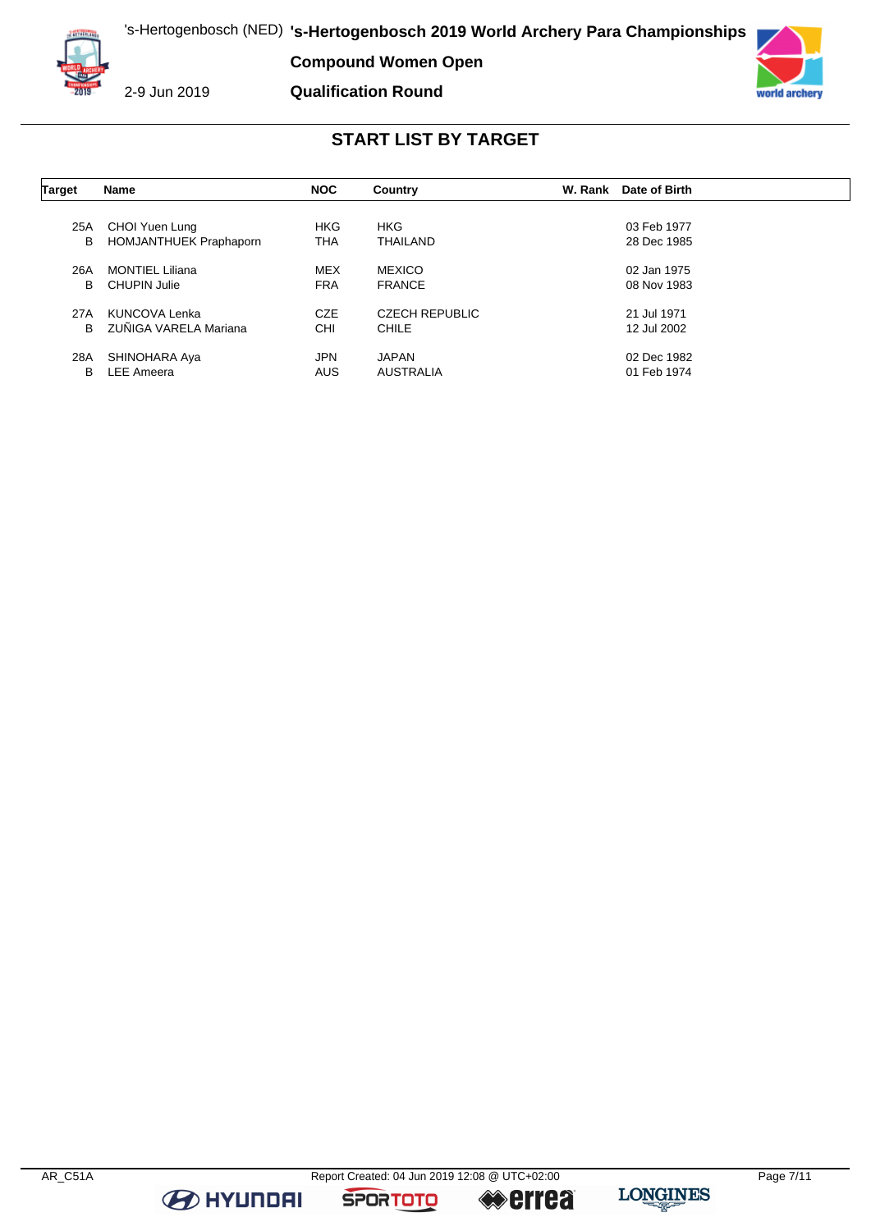

**Compound Women Open**

**Qualification Round**



### **START LIST BY TARGET**

| Target | Name                          | <b>NOC</b> | Country               | W. Rank | Date of Birth |  |
|--------|-------------------------------|------------|-----------------------|---------|---------------|--|
|        |                               |            |                       |         |               |  |
| 25A    | CHOI Yuen Lung                | <b>HKG</b> | <b>HKG</b>            |         | 03 Feb 1977   |  |
| в      | <b>HOMJANTHUEK Praphaporn</b> | <b>THA</b> | THAILAND              |         | 28 Dec 1985   |  |
| 26A    | <b>MONTIEL Liliana</b>        | <b>MEX</b> | <b>MEXICO</b>         |         | 02 Jan 1975   |  |
| В      | CHUPIN Julie                  | <b>FRA</b> | <b>FRANCE</b>         |         | 08 Nov 1983   |  |
| 27A    | KUNCOVA Lenka                 | <b>CZE</b> | <b>CZECH REPUBLIC</b> |         | 21 Jul 1971   |  |
| B      | ZUÑIGA VARELA Mariana         | <b>CHI</b> | CHILE                 |         | 12 Jul 2002   |  |
| 28A    | SHINOHARA Aya                 | <b>JPN</b> | <b>JAPAN</b>          |         | 02 Dec 1982   |  |
| В      | <b>LEE Ameera</b>             | <b>AUS</b> | <b>AUSTRALIA</b>      |         | 01 Feb 1974   |  |

**B** HYUNDAI

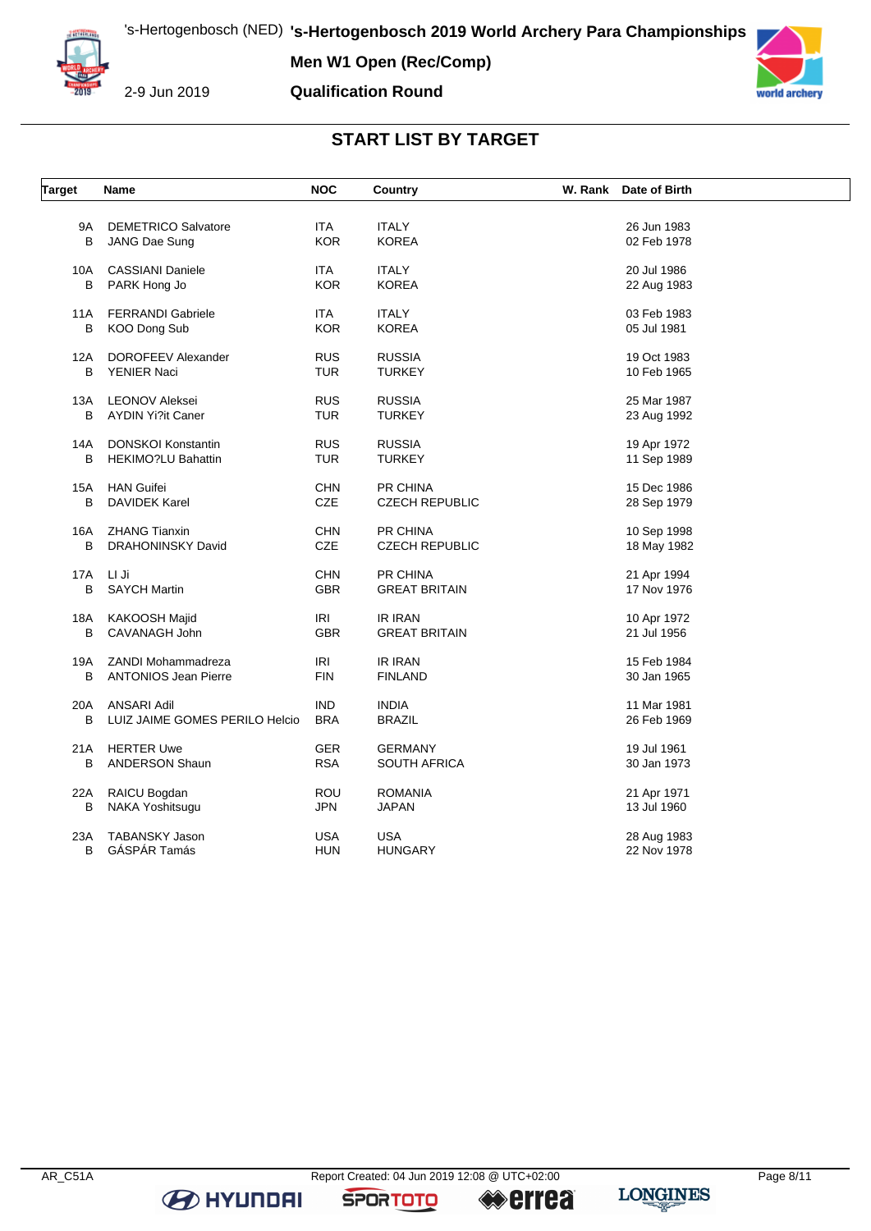

**Men W1 Open (Rec/Comp)**



**Qualification Round**

# **START LIST BY TARGET**

| <b>Target</b> | Name                           | <b>NOC</b> | Country               | W. Rank Date of Birth |  |
|---------------|--------------------------------|------------|-----------------------|-----------------------|--|
|               |                                |            |                       |                       |  |
| 9A            | <b>DEMETRICO Salvatore</b>     | <b>ITA</b> | <b>ITALY</b>          | 26 Jun 1983           |  |
| B             | JANG Dae Sung                  | <b>KOR</b> | <b>KOREA</b>          | 02 Feb 1978           |  |
| 10A           | <b>CASSIANI Daniele</b>        | <b>ITA</b> | <b>ITALY</b>          | 20 Jul 1986           |  |
| В             | PARK Hong Jo                   | <b>KOR</b> | <b>KOREA</b>          | 22 Aug 1983           |  |
| 11A           | <b>FERRANDI Gabriele</b>       | ITA.       | ITALY                 | 03 Feb 1983           |  |
| В             | KOO Dong Sub                   | <b>KOR</b> | <b>KOREA</b>          | 05 Jul 1981           |  |
| 12A           | DOROFEEV Alexander             | <b>RUS</b> | <b>RUSSIA</b>         | 19 Oct 1983           |  |
| B             | YENIER Naci                    | <b>TUR</b> | <b>TURKEY</b>         | 10 Feb 1965           |  |
| 13A           | <b>LEONOV Aleksei</b>          | <b>RUS</b> | <b>RUSSIA</b>         | 25 Mar 1987           |  |
| B             | <b>AYDIN Yi?it Caner</b>       | TUR        | <b>TURKEY</b>         | 23 Aug 1992           |  |
| 14A           | <b>DONSKOI Konstantin</b>      | <b>RUS</b> | <b>RUSSIA</b>         | 19 Apr 1972           |  |
| B             | <b>HEKIMO?LU Bahattin</b>      | TUR        | <b>TURKEY</b>         | 11 Sep 1989           |  |
| 15A           | <b>HAN Guifei</b>              | <b>CHN</b> | PR CHINA              | 15 Dec 1986           |  |
| B             | <b>DAVIDEK Karel</b>           | CZE        | <b>CZECH REPUBLIC</b> | 28 Sep 1979           |  |
| 16A           | <b>ZHANG Tianxin</b>           | <b>CHN</b> | PR CHINA              | 10 Sep 1998           |  |
| B             | <b>DRAHONINSKY David</b>       | CZE        | <b>CZECH REPUBLIC</b> | 18 May 1982           |  |
| 17A           | LI Ji                          | <b>CHN</b> | PR CHINA              | 21 Apr 1994           |  |
| B             | <b>SAYCH Martin</b>            | <b>GBR</b> | <b>GREAT BRITAIN</b>  | 17 Nov 1976           |  |
| 18A           | KAKOOSH Majid                  | IRI        | <b>IR IRAN</b>        | 10 Apr 1972           |  |
| В             | CAVANAGH John                  | <b>GBR</b> | <b>GREAT BRITAIN</b>  | 21 Jul 1956           |  |
| 19A           | ZANDI Mohammadreza             | <b>IRI</b> | IR IRAN               | 15 Feb 1984           |  |
| В             | <b>ANTONIOS Jean Pierre</b>    | <b>FIN</b> | <b>FINLAND</b>        | 30 Jan 1965           |  |
| 20A           | ANSARI Adil                    | <b>IND</b> | <b>INDIA</b>          | 11 Mar 1981           |  |
| B             | LUIZ JAIME GOMES PERILO Helcio | <b>BRA</b> | <b>BRAZIL</b>         | 26 Feb 1969           |  |
| 21A           | <b>HERTER Uwe</b>              | <b>GER</b> | <b>GERMANY</b>        | 19 Jul 1961           |  |
| В             | <b>ANDERSON Shaun</b>          | <b>RSA</b> | SOUTH AFRICA          | 30 Jan 1973           |  |
| 22A           | RAICU Bogdan                   | <b>ROU</b> | <b>ROMANIA</b>        | 21 Apr 1971           |  |
| В             | NAKA Yoshitsugu                | JPN        | <b>JAPAN</b>          | 13 Jul 1960           |  |
| 23A           | TABANSKY Jason                 | <b>USA</b> | <b>USA</b>            | 28 Aug 1983           |  |
| B             | GÁSPÁR Tamás                   | HUN        | <b>HUNGARY</b>        | 22 Nov 1978           |  |

**B** HYUNDAI

**SPORTOTO** 

**errea**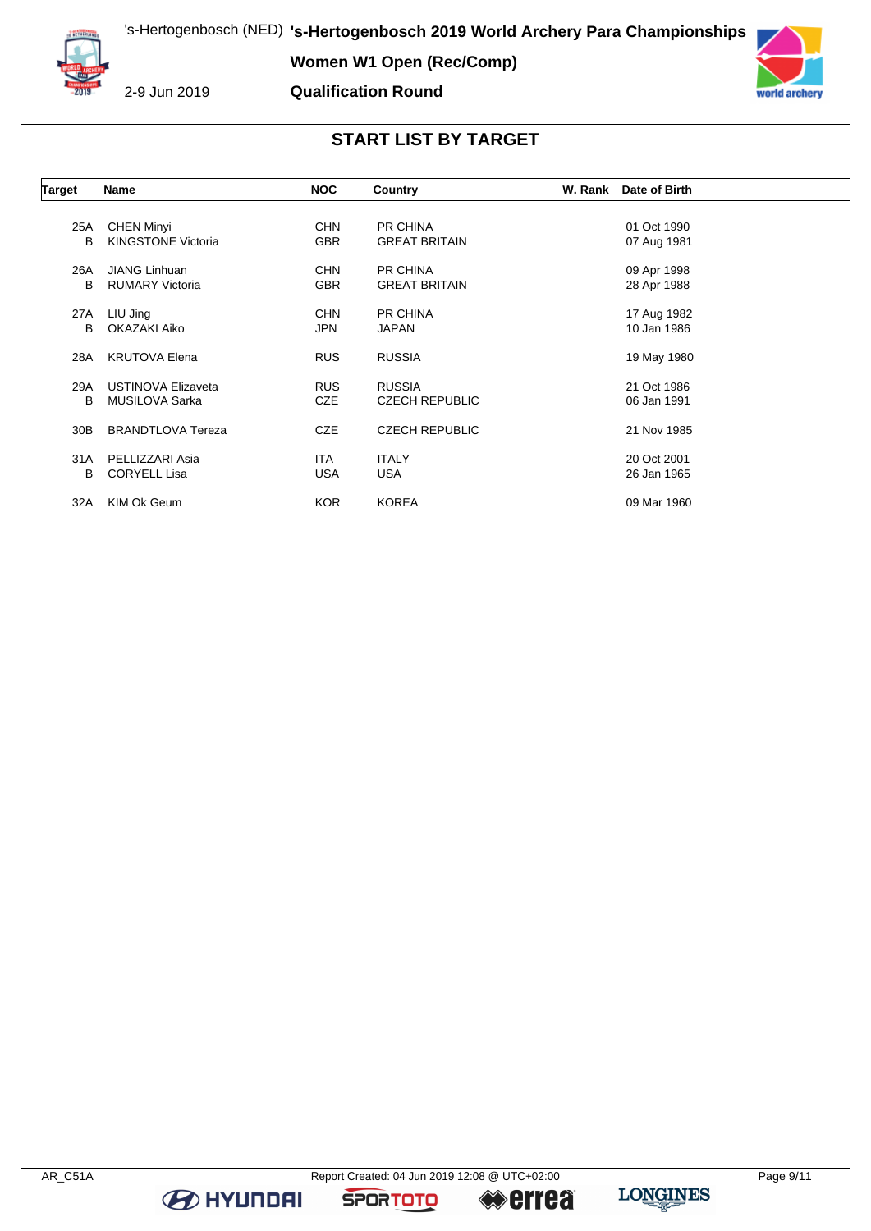

**Women W1 Open (Rec/Comp)**



2-9 Jun 2019

#### **Qualification Round**



#### **START LIST BY TARGET**

| Target          | Name                      | <b>NOC</b> | Country               | W. Rank Date of Birth |  |
|-----------------|---------------------------|------------|-----------------------|-----------------------|--|
|                 |                           |            |                       |                       |  |
| 25A             | <b>CHEN Minyi</b>         | <b>CHN</b> | <b>PR CHINA</b>       | 01 Oct 1990           |  |
| B               | <b>KINGSTONE Victoria</b> | <b>GBR</b> | <b>GREAT BRITAIN</b>  | 07 Aug 1981           |  |
| 26A             | JIANG Linhuan             | <b>CHN</b> | <b>PR CHINA</b>       | 09 Apr 1998           |  |
| B               | <b>RUMARY Victoria</b>    | <b>GBR</b> | <b>GREAT BRITAIN</b>  | 28 Apr 1988           |  |
| 27A             | LIU Jing                  | <b>CHN</b> | PR CHINA              | 17 Aug 1982           |  |
| В               | OKAZAKI Aiko              | <b>JPN</b> | <b>JAPAN</b>          | 10 Jan 1986           |  |
| 28A             | <b>KRUTOVA Elena</b>      | <b>RUS</b> | <b>RUSSIA</b>         | 19 May 1980           |  |
| 29A             | USTINOVA Elizaveta        | <b>RUS</b> | <b>RUSSIA</b>         | 21 Oct 1986           |  |
| B               | MUSILOVA Sarka            | <b>CZE</b> | <b>CZECH REPUBLIC</b> | 06 Jan 1991           |  |
| 30 <sub>B</sub> | <b>BRANDTLOVA Tereza</b>  | <b>CZE</b> | <b>CZECH REPUBLIC</b> | 21 Nov 1985           |  |
| 31A             | PELLIZZARI Asia           | <b>ITA</b> | <b>ITALY</b>          | 20 Oct 2001           |  |
| В               | <b>CORYELL Lisa</b>       | USA        | <b>USA</b>            | 26 Jan 1965           |  |
| 32A             | KIM Ok Geum               | <b>KOR</b> | <b>KOREA</b>          | 09 Mar 1960           |  |

**B** HYUNDAI

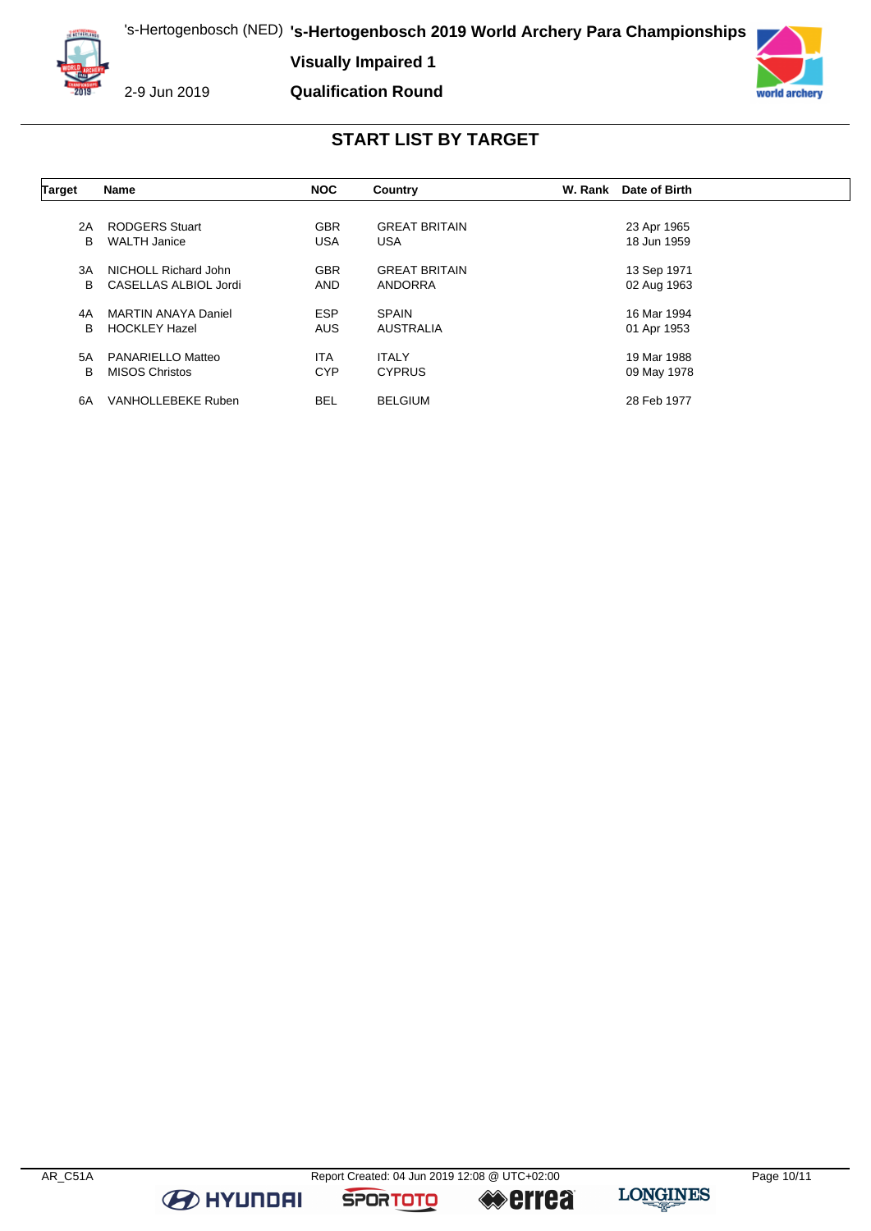**Visually Impaired 1**



2-9 Jun 2019

**Qualification Round**



## **START LIST BY TARGET**

| Target | <b>Name</b>                | <b>NOC</b> | Country              | W. Rank | Date of Birth |  |
|--------|----------------------------|------------|----------------------|---------|---------------|--|
|        |                            |            |                      |         |               |  |
| 2A     | <b>RODGERS Stuart</b>      | <b>GBR</b> | <b>GREAT BRITAIN</b> |         | 23 Apr 1965   |  |
| B      | <b>WALTH Janice</b>        | <b>USA</b> | <b>USA</b>           |         | 18 Jun 1959   |  |
| 3A     | NICHOLL Richard John       | <b>GBR</b> | <b>GREAT BRITAIN</b> |         | 13 Sep 1971   |  |
| В      | CASELLAS ALBIOL Jordi      | <b>AND</b> | ANDORRA              |         | 02 Aug 1963   |  |
| 4A     | <b>MARTIN ANAYA Daniel</b> | <b>ESP</b> | <b>SPAIN</b>         |         | 16 Mar 1994   |  |
| В      | <b>HOCKLEY Hazel</b>       | <b>AUS</b> | <b>AUSTRALIA</b>     |         | 01 Apr 1953   |  |
| 5A     | PANARIELLO Matteo          | <b>ITA</b> | <b>ITALY</b>         |         | 19 Mar 1988   |  |
| в      | <b>MISOS Christos</b>      | <b>CYP</b> | <b>CYPRUS</b>        |         | 09 May 1978   |  |
| 6A     | VANHOLLEBEKE Ruben         | <b>BEL</b> | <b>BELGIUM</b>       |         | 28 Feb 1977   |  |

**B** HYUNDAI

**SPORTOTO** 

**errea**